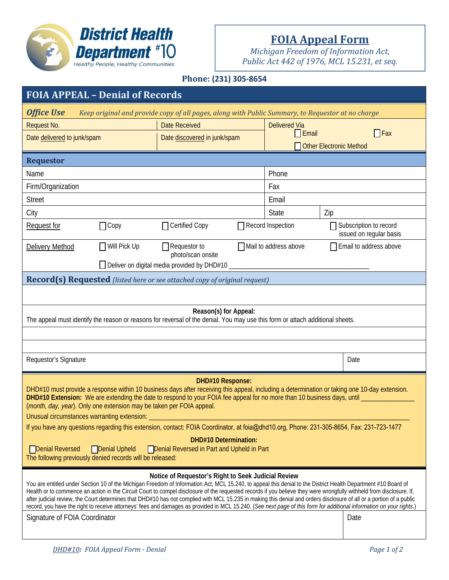

# **FOIA Appeal Form**

*Michigan Freedom of Information Act, Public Act 442 of 1976, MCL 15.231, et seq.*

# **Phone: (231) 305‐8654**

| <b>FOIA APPEAL - Denial of Records</b>                                                                                                                                                                                                                                                                                                                                                                                                                                                                                                                                                                                                                                                                                                                                                 |                     |                                          |  |                                                                               |                                  |            |  |
|----------------------------------------------------------------------------------------------------------------------------------------------------------------------------------------------------------------------------------------------------------------------------------------------------------------------------------------------------------------------------------------------------------------------------------------------------------------------------------------------------------------------------------------------------------------------------------------------------------------------------------------------------------------------------------------------------------------------------------------------------------------------------------------|---------------------|------------------------------------------|--|-------------------------------------------------------------------------------|----------------------------------|------------|--|
| <b>Office Use</b><br>Keep original and provide copy of all pages, along with Public Summary, to Requestor at no charge                                                                                                                                                                                                                                                                                                                                                                                                                                                                                                                                                                                                                                                                 |                     |                                          |  |                                                                               |                                  |            |  |
| Request No.                                                                                                                                                                                                                                                                                                                                                                                                                                                                                                                                                                                                                                                                                                                                                                            |                     | <b>Date Received</b>                     |  | <b>Delivered Via</b>                                                          |                                  |            |  |
| Date delivered to junk/spam                                                                                                                                                                                                                                                                                                                                                                                                                                                                                                                                                                                                                                                                                                                                                            |                     | Date discovered in junk/spam             |  |                                                                               | Email<br>Other Electronic Method | $\Box$ Fax |  |
| <b>Requestor</b>                                                                                                                                                                                                                                                                                                                                                                                                                                                                                                                                                                                                                                                                                                                                                                       |                     |                                          |  |                                                                               |                                  |            |  |
| Name                                                                                                                                                                                                                                                                                                                                                                                                                                                                                                                                                                                                                                                                                                                                                                                   |                     |                                          |  | Phone                                                                         |                                  |            |  |
| Firm/Organization                                                                                                                                                                                                                                                                                                                                                                                                                                                                                                                                                                                                                                                                                                                                                                      |                     |                                          |  | Fax                                                                           |                                  |            |  |
| <b>Street</b>                                                                                                                                                                                                                                                                                                                                                                                                                                                                                                                                                                                                                                                                                                                                                                          |                     |                                          |  | Email                                                                         |                                  |            |  |
| City                                                                                                                                                                                                                                                                                                                                                                                                                                                                                                                                                                                                                                                                                                                                                                                   |                     |                                          |  | <b>State</b>                                                                  | Zip                              |            |  |
| Request for                                                                                                                                                                                                                                                                                                                                                                                                                                                                                                                                                                                                                                                                                                                                                                            | $\Box$ Copy         | Certified Copy                           |  | $\Box$ Record Inspection<br>Subscription to record<br>issued on regular basis |                                  |            |  |
| Delivery Method                                                                                                                                                                                                                                                                                                                                                                                                                                                                                                                                                                                                                                                                                                                                                                        | $\Box$ Will Pick Up | $\Box$ Requestor to<br>photo/scan onsite |  | Mail to address above<br>Email to address above<br>П                          |                                  |            |  |
| $\Box$ Deliver on digital media provided by DHD#10                                                                                                                                                                                                                                                                                                                                                                                                                                                                                                                                                                                                                                                                                                                                     |                     |                                          |  |                                                                               |                                  |            |  |
| <b>Record(s) Requested</b> (listed here or see attached copy of original request)                                                                                                                                                                                                                                                                                                                                                                                                                                                                                                                                                                                                                                                                                                      |                     |                                          |  |                                                                               |                                  |            |  |
|                                                                                                                                                                                                                                                                                                                                                                                                                                                                                                                                                                                                                                                                                                                                                                                        |                     |                                          |  |                                                                               |                                  |            |  |
| Reason(s) for Appeal:<br>The appeal must identify the reason or reasons for reversal of the denial. You may use this form or attach additional sheets.                                                                                                                                                                                                                                                                                                                                                                                                                                                                                                                                                                                                                                 |                     |                                          |  |                                                                               |                                  |            |  |
|                                                                                                                                                                                                                                                                                                                                                                                                                                                                                                                                                                                                                                                                                                                                                                                        |                     |                                          |  |                                                                               |                                  |            |  |
|                                                                                                                                                                                                                                                                                                                                                                                                                                                                                                                                                                                                                                                                                                                                                                                        |                     |                                          |  |                                                                               |                                  |            |  |
| Requestor's Signature                                                                                                                                                                                                                                                                                                                                                                                                                                                                                                                                                                                                                                                                                                                                                                  |                     |                                          |  |                                                                               |                                  | Date       |  |
| <b>DHD#10 Response:</b><br>DHD#10 must provide a response within 10 business days after receiving this appeal, including a determination or taking one 10-day extension.<br>DHD#10 Extension: We are extending the date to respond to your FOIA fee appeal for no more than 10 business days, until<br>(month, day, year). Only one extension may be taken per FOIA appeal.<br>Unusual circumstances warranting extension:<br>If you have any questions regarding this extension, contact: FOIA Coordinator, at foia@dhd10.org, Phone: 231-305-8654, Fax: 231-723-1477<br><b>DHD#10 Determination:</b><br>Denial Reversed<br><b>Policial Upheld</b> Policial Reversed in Part and Upheld in Part<br>The following previously denied records will be released:                          |                     |                                          |  |                                                                               |                                  |            |  |
| Notice of Requestor's Right to Seek Judicial Review<br>You are entitled under Section 10 of the Michigan Freedom of Information Act, MCL 15.240, to appeal this denial to the District Health Department #10 Board of<br>Health or to commence an action in the Circuit Court to compel disclosure of the requested records if you believe they were wrongfully withheld from disclosure. If,<br>after judicial review, the Court determines that DHD#10 has not complied with MCL 15.235 in making this denial and orders disclosure of all or a portion of a public<br>record, you have the right to receive attorneys' fees and damages as provided in MCL 15.240. (See next page of this form for additional information on your rights.)<br>Signature of FOIA Coordinator<br>Date |                     |                                          |  |                                                                               |                                  |            |  |
|                                                                                                                                                                                                                                                                                                                                                                                                                                                                                                                                                                                                                                                                                                                                                                                        |                     |                                          |  |                                                                               |                                  |            |  |